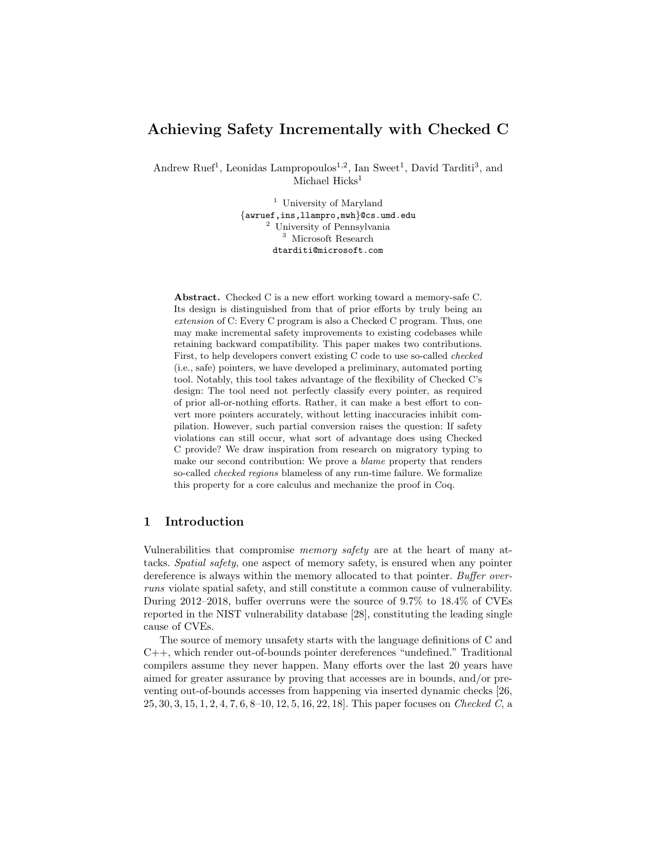# Achieving Safety Incrementally with Checked C

Andrew Ruef<sup>1</sup>, Leonidas Lampropoulos<sup>1,2</sup>, Ian Sweet<sup>1</sup>, David Tarditi<sup>3</sup>, and Michael Hicks<sup>1</sup>

> <sup>1</sup> University of Maryland {awruef,ins,llampro,mwh}@cs.umd.edu <sup>2</sup> University of Pennsylvania <sup>3</sup> Microsoft Research dtarditi@microsoft.com

Abstract. Checked C is a new effort working toward a memory-safe C. Its design is distinguished from that of prior efforts by truly being an extension of C: Every C program is also a Checked C program. Thus, one may make incremental safety improvements to existing codebases while retaining backward compatibility. This paper makes two contributions. First, to help developers convert existing C code to use so-called checked (i.e., safe) pointers, we have developed a preliminary, automated porting tool. Notably, this tool takes advantage of the flexibility of Checked C's design: The tool need not perfectly classify every pointer, as required of prior all-or-nothing efforts. Rather, it can make a best effort to convert more pointers accurately, without letting inaccuracies inhibit compilation. However, such partial conversion raises the question: If safety violations can still occur, what sort of advantage does using Checked C provide? We draw inspiration from research on migratory typing to make our second contribution: We prove a blame property that renders so-called checked regions blameless of any run-time failure. We formalize this property for a core calculus and mechanize the proof in Coq.

## 1 Introduction

Vulnerabilities that compromise memory safety are at the heart of many attacks. Spatial safety, one aspect of memory safety, is ensured when any pointer dereference is always within the memory allocated to that pointer. Buffer overruns violate spatial safety, and still constitute a common cause of vulnerability. During 2012–2018, buffer overruns were the source of 9.7% to 18.4% of CVEs reported in the NIST vulnerability database [28], constituting the leading single cause of CVEs.

The source of memory unsafety starts with the language definitions of C and C++, which render out-of-bounds pointer dereferences "undefined." Traditional compilers assume they never happen. Many efforts over the last 20 years have aimed for greater assurance by proving that accesses are in bounds, and/or preventing out-of-bounds accesses from happening via inserted dynamic checks [26, 25, 30, 3, 15, 1, 2, 4, 7, 6, 8–10, 12, 5, 16, 22, 18]. This paper focuses on Checked C, a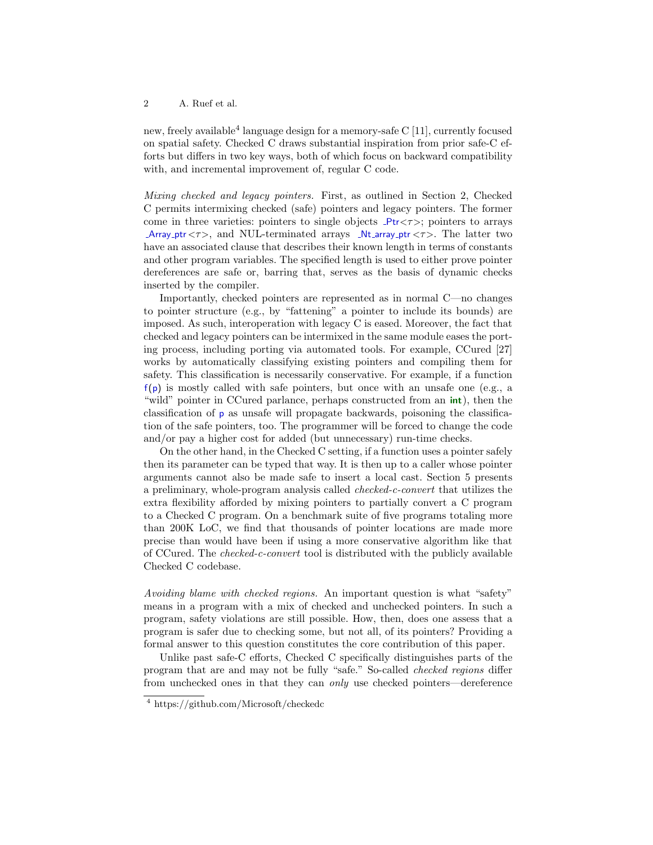new, freely available<sup>4</sup> language design for a memory-safe C [11], currently focused on spatial safety. Checked C draws substantial inspiration from prior safe-C efforts but differs in two key ways, both of which focus on backward compatibility with, and incremental improvement of, regular C code.

Mixing checked and legacy pointers. First, as outlined in Section 2, Checked C permits intermixing checked (safe) pointers and legacy pointers. The former come in three varieties: pointers to single objects  $P$ tr $\langle \tau \rangle$ ; pointers to arrays  $\text{Array\_ptr} \leq \tau$ , and NUL-terminated arrays  $\text{Nt\_array\_ptr} \leq \tau$ . The latter two have an associated clause that describes their known length in terms of constants and other program variables. The specified length is used to either prove pointer dereferences are safe or, barring that, serves as the basis of dynamic checks inserted by the compiler.

Importantly, checked pointers are represented as in normal C—no changes to pointer structure (e.g., by "fattening" a pointer to include its bounds) are imposed. As such, interoperation with legacy C is eased. Moreover, the fact that checked and legacy pointers can be intermixed in the same module eases the porting process, including porting via automated tools. For example, CCured [27] works by automatically classifying existing pointers and compiling them for safety. This classification is necessarily conservative. For example, if a function  $f(p)$  is mostly called with safe pointers, but once with an unsafe one (e.g., a "wild" pointer in CCured parlance, perhaps constructed from an int), then the classification of p as unsafe will propagate backwards, poisoning the classification of the safe pointers, too. The programmer will be forced to change the code and/or pay a higher cost for added (but unnecessary) run-time checks.

On the other hand, in the Checked C setting, if a function uses a pointer safely then its parameter can be typed that way. It is then up to a caller whose pointer arguments cannot also be made safe to insert a local cast. Section 5 presents a preliminary, whole-program analysis called checked-c-convert that utilizes the extra flexibility afforded by mixing pointers to partially convert a C program to a Checked C program. On a benchmark suite of five programs totaling more than 200K LoC, we find that thousands of pointer locations are made more precise than would have been if using a more conservative algorithm like that of CCured. The checked-c-convert tool is distributed with the publicly available Checked C codebase.

Avoiding blame with checked regions. An important question is what "safety" means in a program with a mix of checked and unchecked pointers. In such a program, safety violations are still possible. How, then, does one assess that a program is safer due to checking some, but not all, of its pointers? Providing a formal answer to this question constitutes the core contribution of this paper.

Unlike past safe-C efforts, Checked C specifically distinguishes parts of the program that are and may not be fully "safe." So-called checked regions differ from unchecked ones in that they can only use checked pointers—dereference

<sup>4</sup> https://github.com/Microsoft/checkedc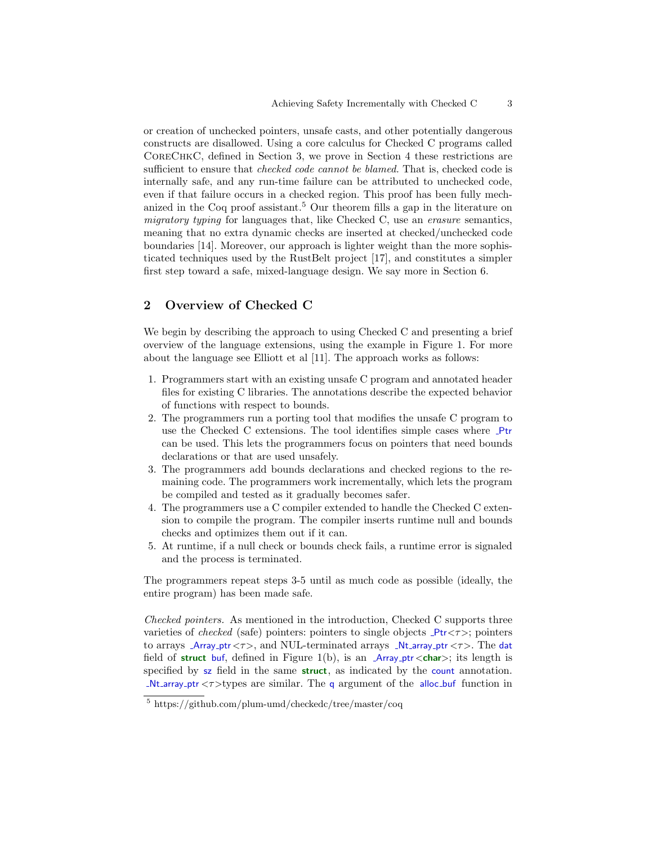or creation of unchecked pointers, unsafe casts, and other potentially dangerous constructs are disallowed. Using a core calculus for Checked C programs called CoreChkC, defined in Section 3, we prove in Section 4 these restrictions are sufficient to ensure that *checked code cannot be blamed*. That is, checked code is internally safe, and any run-time failure can be attributed to unchecked code, even if that failure occurs in a checked region. This proof has been fully mechanized in the Coq proof assistant.<sup>5</sup> Our theorem fills a gap in the literature on migratory typing for languages that, like Checked C, use an *erasure* semantics, meaning that no extra dynamic checks are inserted at checked/unchecked code boundaries [14]. Moreover, our approach is lighter weight than the more sophisticated techniques used by the RustBelt project [17], and constitutes a simpler first step toward a safe, mixed-language design. We say more in Section 6.

## 2 Overview of Checked C

We begin by describing the approach to using Checked C and presenting a brief overview of the language extensions, using the example in Figure 1. For more about the language see Elliott et al [11]. The approach works as follows:

- 1. Programmers start with an existing unsafe C program and annotated header files for existing C libraries. The annotations describe the expected behavior of functions with respect to bounds.
- 2. The programmers run a porting tool that modifies the unsafe C program to use the Checked C extensions. The tool identifies simple cases where Ptr can be used. This lets the programmers focus on pointers that need bounds declarations or that are used unsafely.
- 3. The programmers add bounds declarations and checked regions to the remaining code. The programmers work incrementally, which lets the program be compiled and tested as it gradually becomes safer.
- 4. The programmers use a C compiler extended to handle the Checked C extension to compile the program. The compiler inserts runtime null and bounds checks and optimizes them out if it can.
- 5. At runtime, if a null check or bounds check fails, a runtime error is signaled and the process is terminated.

The programmers repeat steps 3-5 until as much code as possible (ideally, the entire program) has been made safe.

Checked pointers. As mentioned in the introduction, Checked C supports three varieties of *checked* (safe) pointers: pointers to single objects  $P$ tr $\langle \tau \rangle$ ; pointers to arrays  $\text{Array\_ptr} \leq \tau$ , and NUL-terminated arrays  $\text{N}$ t array ptr  $\leq \tau$ . The dat field of struct buf, defined in Figure 1(b), is an  $\text{Array\_ptr} \le \text{char}$ ; its length is specified by sz field in the same **struct**, as indicated by the count annotation.  $Nt$ -array ptr  $\langle \tau \rangle$  types are similar. The q argument of the alloc buf function in

<sup>5</sup> https://github.com/plum-umd/checkedc/tree/master/coq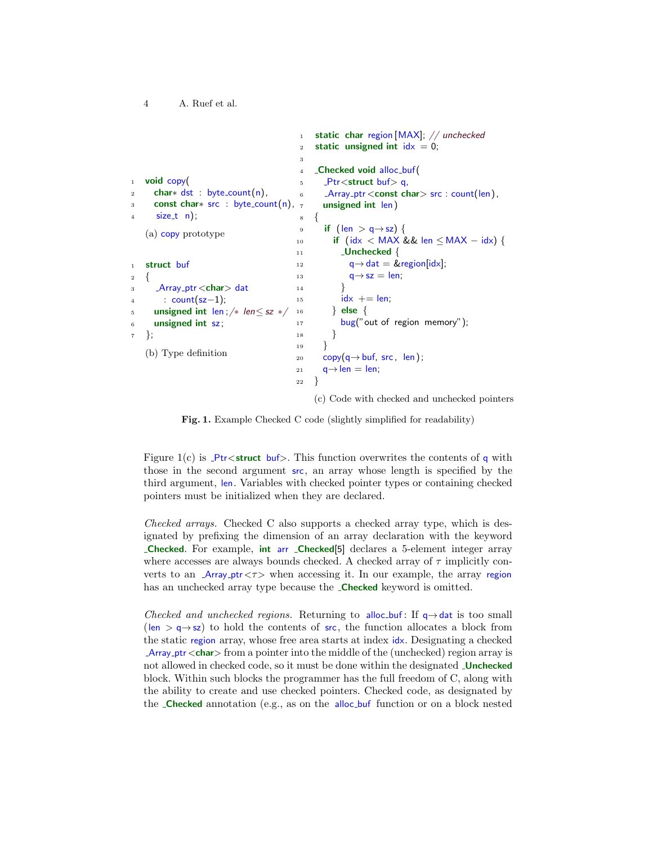|                |                                              | $\mathbf{1}$               | static char region [MAX]; // unchecked                              |  |  |
|----------------|----------------------------------------------|----------------------------|---------------------------------------------------------------------|--|--|
|                |                                              | $\overline{2}$             | static unsigned int $idx = 0$ ;                                     |  |  |
|                |                                              | 3                          |                                                                     |  |  |
|                |                                              | $\overline{4}$             | _Checked void alloc_buf(                                            |  |  |
| $1\,$          | void copy(                                   | $5^{\circ}$                | $-Ptr$ < struct buf > q,                                            |  |  |
| $\,2$          | char* dst : byte_count(n),                   | $\overline{\phantom{0}}$ 6 | $Array_ptr <$ const char $>$ src : count(len),<br>unsigned int len) |  |  |
| 3              | const char* src byte_count(n), $_7$          |                            |                                                                     |  |  |
| $\overline{4}$ | $size_t$ n);                                 | 8                          | $\left\{ \right.$                                                   |  |  |
|                | (a) $copy$ prototype                         | 9                          | if (len $> q \rightarrow sz$ ) {                                    |  |  |
|                |                                              | 10                         | if $(idx < MAX & &$ len $\leq MAX - idx$ {                          |  |  |
|                |                                              | 11                         | $\mathsf{L}$ Unchecked $\{$                                         |  |  |
|                | 1 <b>struct</b> buf                          | 12                         | $q \rightarrow$ dat = & region [idx];                               |  |  |
| $\,2$          |                                              | 13                         | $q \rightarrow sz = len$ :                                          |  |  |
| 3              | $Array_ptr <$ char $>$ dat                   | $1\,4$                     |                                                                     |  |  |
| $\,4$          | $\therefore$ count(sz-1);                    | 15                         | $idx$ += len;                                                       |  |  |
| 5              | <b>unsigned int</b> len; /* $len \leq sz$ */ | $16\,$                     | $\left\{\right. \right.$ else $\left\{\right.$                      |  |  |
| $\,$ 6 $\,$    | unsigned int sz;                             | 17                         | $bug(''out of region memory')$ ;                                    |  |  |
|                | $7 \}$                                       | 18                         | $\left\{ \right.$                                                   |  |  |
|                | (b) Type definition                          | 19                         |                                                                     |  |  |
|                |                                              | 20                         | $copy(q \rightarrow buf, src, len);$                                |  |  |
|                |                                              | 21                         | $q \rightarrow$ len = len;                                          |  |  |
|                |                                              | $^{\rm 22}$                |                                                                     |  |  |
|                |                                              |                            |                                                                     |  |  |

(c) Code with checked and unchecked pointers

Fig. 1. Example Checked C code (slightly simplified for readability)

Figure 1(c) is  $P$ tr<struct buf>. This function overwrites the contents of q with those in the second argument src, an array whose length is specified by the third argument, len. Variables with checked pointer types or containing checked pointers must be initialized when they are declared.

Checked arrays. Checked C also supports a checked array type, which is designated by prefixing the dimension of an array declaration with the keyword Checked. For example, int arr Checked[5] declares a 5-element integer array where accesses are always bounds checked. A checked array of  $\tau$  implicitly converts to an  $\text{Array\_ptr} \leq \tau$  when accessing it. In our example, the array region has an unchecked array type because the **Checked** keyword is omitted.

Checked and unchecked regions. Returning to alloc buf: If  $q \rightarrow$  dat is too small (len >  $q \rightarrow$  sz) to hold the contents of src, the function allocates a block from the static region array, whose free area starts at index idx. Designating a checked  $\text{Array\_ptr} \le \text{char}$  from a pointer into the middle of the (unchecked) region array is not allowed in checked code, so it must be done within the designated **Unchecked** block. Within such blocks the programmer has the full freedom of C, along with the ability to create and use checked pointers. Checked code, as designated by the Checked annotation (e.g., as on the alloc buf function or on a block nested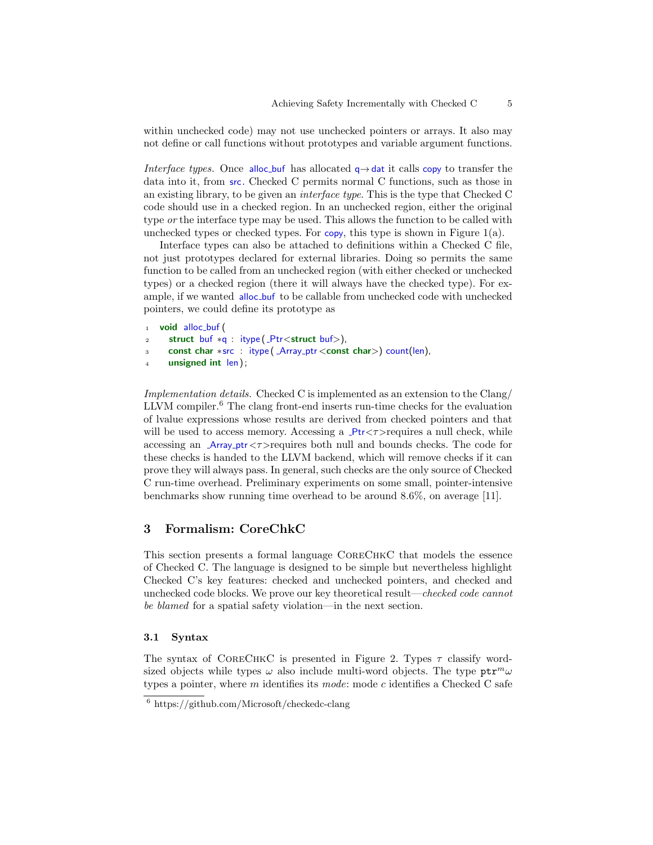within unchecked code) may not use unchecked pointers or arrays. It also may not define or call functions without prototypes and variable argument functions.

Interface types. Once alloc buf has allocated  $q \rightarrow$  dat it calls copy to transfer the data into it, from src. Checked C permits normal C functions, such as those in an existing library, to be given an interface type. This is the type that Checked C code should use in a checked region. In an unchecked region, either the original type or the interface type may be used. This allows the function to be called with unchecked types or checked types. For copy, this type is shown in Figure  $1(a)$ .

Interface types can also be attached to definitions within a Checked C file, not just prototypes declared for external libraries. Doing so permits the same function to be called from an unchecked region (with either checked or unchecked types) or a checked region (there it will always have the checked type). For example, if we wanted alloc\_buf to be callable from unchecked code with unchecked pointers, we could define its prototype as

```
void alloc_buf (
2 struct buf *q : itype (_Ptr<struct buf>),
3 const char ∗src : itype ( Array ptr<const char>) count(len),
4 unsigned int len);
```
Implementation details. Checked C is implemented as an extension to the Clang/ LLVM compiler.<sup>6</sup> The clang front-end inserts run-time checks for the evaluation of lvalue expressions whose results are derived from checked pointers and that will be used to access memory. Accessing a  $Ptr\langle\tau\rangle$  requires a null check, while accessing an  $\text{Array\_ptr} \leq \tau$ >requires both null and bounds checks. The code for these checks is handed to the LLVM backend, which will remove checks if it can prove they will always pass. In general, such checks are the only source of Checked C run-time overhead. Preliminary experiments on some small, pointer-intensive benchmarks show running time overhead to be around 8.6%, on average [11].

### 3 Formalism: CoreChkC

This section presents a formal language CoreChkC that models the essence of Checked C. The language is designed to be simple but nevertheless highlight Checked C's key features: checked and unchecked pointers, and checked and unchecked code blocks. We prove our key theoretical result—checked code cannot be blamed for a spatial safety violation—in the next section.

#### 3.1 Syntax

The syntax of CORECHKC is presented in Figure 2. Types  $\tau$  classify wordsized objects while types  $\omega$  also include multi-word objects. The type  $\text{ptr}^m\omega$ types a pointer, where m identifies its mode: mode c identifies a Checked C safe

 $6 \text{ https://github.com/Microsoft/checkedc-clang}$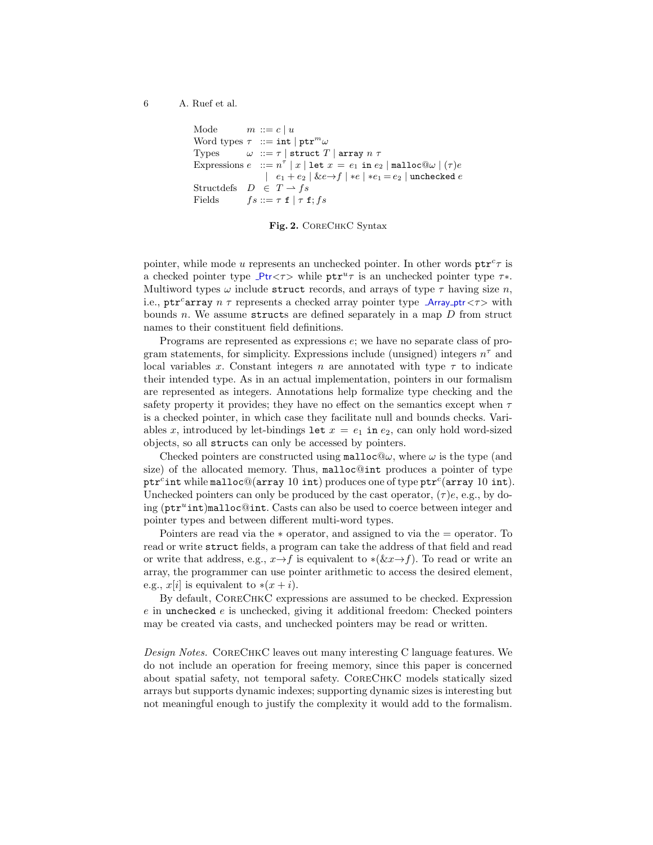```
Mode m ::= c | uWord types \tau ::= int | ptr<sup>m</sup>\omegaTypes \omega := \tau \mid \text{struct } T \mid \text{array } n \tauExpressions e^- ::= n^{\tau} | x | let x = e_1 in e_2 | malloc@ \omega | (\tau) e|e_1+e_2| &e \rightarrow f | *e | *e_1 = e_2 | unchecked eStructdefs D \in T \longrightarrow fsFields fs ::= \tau \mathbf{f} | \tau \mathbf{f}; fs
```
Fig. 2. CoreChkC Syntax

pointer, while mode u represents an unchecked pointer. In other words  $ptr^{c}\tau$  is a checked pointer type Ptr< $\tau$  while  $ptr^u\tau$  is an unchecked pointer type  $\tau$ \*. Multiword types  $\omega$  include struct records, and arrays of type  $\tau$  having size n, i.e.,  $ptr<sup>c</sup>array$   $n \tau$  represents a checked array pointer type  $Array\_ptr < \tau$  with bounds n. We assume structs are defined separately in a map  $D$  from struct names to their constituent field definitions.

Programs are represented as expressions e; we have no separate class of program statements, for simplicity. Expressions include (unsigned) integers  $n^{\tau}$  and local variables x. Constant integers n are annotated with type  $\tau$  to indicate their intended type. As in an actual implementation, pointers in our formalism are represented as integers. Annotations help formalize type checking and the safety property it provides; they have no effect on the semantics except when  $\tau$ is a checked pointer, in which case they facilitate null and bounds checks. Variables x, introduced by let-bindings let  $x = e_1$  in  $e_2$ , can only hold word-sized objects, so all structs can only be accessed by pointers.

Checked pointers are constructed using malloc $@\omega$ , where  $\omega$  is the type (and size) of the allocated memory. Thus, malloc@int produces a pointer of type  $\texttt{ptr}^{c}$  int while malloc $@($ array 10 int) produces one of type  $\texttt{ptr}^{c}$  (array 10 int). Unchecked pointers can only be produced by the cast operator,  $(\tau)e$ , e.g., by doing  $(\text{ptr}^u$  int)malloc@int. Casts can also be used to coerce between integer and pointer types and between different multi-word types.

Pointers are read via the ∗ operator, and assigned to via the = operator. To read or write struct fields, a program can take the address of that field and read or write that address, e.g.,  $x \rightarrow f$  is equivalent to  $*(\&x \rightarrow f)$ . To read or write an array, the programmer can use pointer arithmetic to access the desired element, e.g.,  $x[i]$  is equivalent to  $*(x + i)$ .

By default, CoreChkC expressions are assumed to be checked. Expression  $e$  in unchecked  $e$  is unchecked, giving it additional freedom: Checked pointers may be created via casts, and unchecked pointers may be read or written.

Design Notes. CORECHKC leaves out many interesting C language features. We do not include an operation for freeing memory, since this paper is concerned about spatial safety, not temporal safety. CoreChkC models statically sized arrays but supports dynamic indexes; supporting dynamic sizes is interesting but not meaningful enough to justify the complexity it would add to the formalism.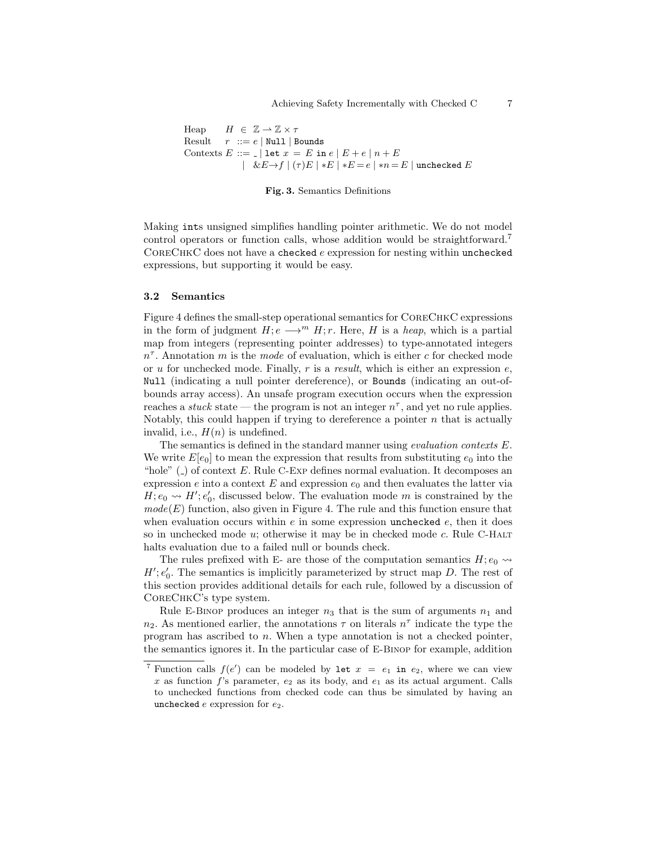\n- Heap 
$$
H \in \mathbb{Z} \to \mathbb{Z} \times \tau
$$
\n- Result  $r ::= e | \text{Null} | \text{Bounds}$
\n- Contexts  $E ::= - | \text{let } x = E \text{ in } e | E + e | n + E$
\n- $| \& E \rightarrow f | (\tau)E | *E | *E = e | * n = E | \text{ unchecked } E$
\n

Fig. 3. Semantics Definitions

Making ints unsigned simplifies handling pointer arithmetic. We do not model control operators or function calls, whose addition would be straightforward.<sup>7</sup> CORECHKC does not have a checked  $e$  expression for nesting within unchecked expressions, but supporting it would be easy.

#### 3.2 Semantics

Figure 4 defines the small-step operational semantics for CoreChkC expressions in the form of judgment  $H: e \longrightarrow^m H: r$ . Here, H is a heap, which is a partial map from integers (representing pointer addresses) to type-annotated integers  $n^{\tau}$ . Annotation m is the mode of evaluation, which is either c for checked mode or u for unchecked mode. Finally, r is a result, which is either an expression  $e$ , Null (indicating a null pointer dereference), or Bounds (indicating an out-ofbounds array access). An unsafe program execution occurs when the expression reaches a stuck state — the program is not an integer  $n^{\tau}$ , and yet no rule applies. Notably, this could happen if trying to dereference a pointer  $n$  that is actually invalid, i.e.,  $H(n)$  is undefined.

The semantics is defined in the standard manner using evaluation contexts E. We write  $E[e_0]$  to mean the expression that results from substituting  $e_0$  into the "hole" ( $\Box$ ) of context E. Rule C-Exp defines normal evaluation. It decomposes an expression e into a context E and expression  $e_0$  and then evaluates the latter via  $H, e_0 \rightsquigarrow H'; e'_0$ , discussed below. The evaluation mode m is constrained by the  $mode(E)$  function, also given in Figure 4. The rule and this function ensure that when evaluation occurs within  $e$  in some expression unchecked  $e$ , then it does so in unchecked mode  $u$ ; otherwise it may be in checked mode  $c$ . Rule C-HALT halts evaluation due to a failed null or bounds check.

The rules prefixed with E- are those of the computation semantics  $H; e_0 \rightarrow$  $H'; e'_0$ . The semantics is implicitly parameterized by struct map D. The rest of this section provides additional details for each rule, followed by a discussion of CoreChkC's type system.

Rule E-BINOP produces an integer  $n_3$  that is the sum of arguments  $n_1$  and  $n_2$ . As mentioned earlier, the annotations  $\tau$  on literals  $n^{\tau}$  indicate the type the program has ascribed to n. When a type annotation is not a checked pointer, the semantics ignores it. In the particular case of E-Binop for example, addition

<sup>&</sup>lt;sup>7</sup> Function calls  $f(e')$  can be modeled by let  $x = e_1$  in  $e_2$ , where we can view x as function f's parameter,  $e_2$  as its body, and  $e_1$  as its actual argument. Calls to unchecked functions from checked code can thus be simulated by having an unchecked  $e$  expression for  $e_2$ .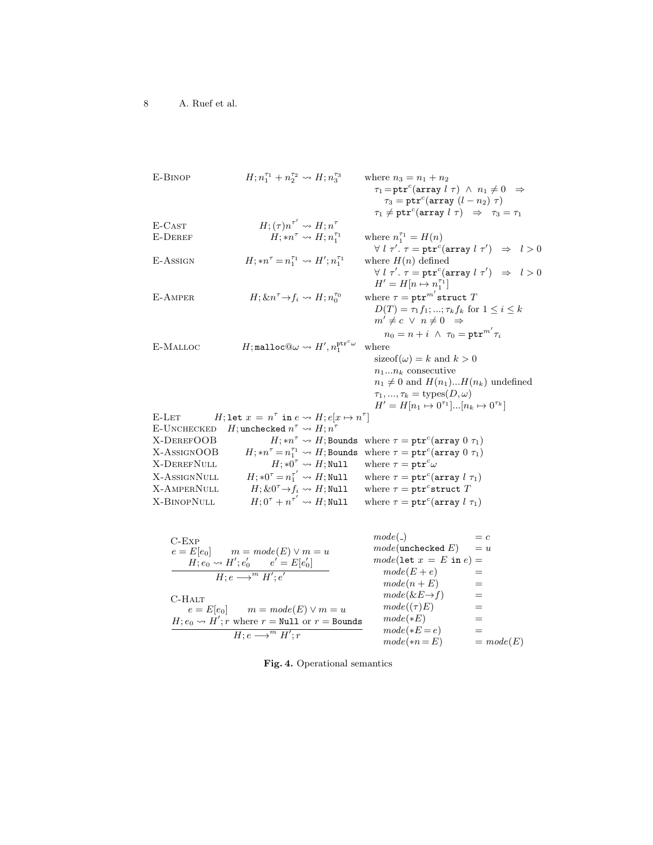E-Binop H; n τ1 <sup>1</sup> + n τ2 <sup>2</sup> H; n τ3 <sup>3</sup> where n<sup>3</sup> = n<sup>1</sup> + n<sup>2</sup> τ<sup>1</sup> =ptr<sup>c</sup> (array l τ ) ∧ n<sup>1</sup> 6= 0 ⇒ τ<sup>3</sup> = ptr<sup>c</sup> (array (l − n2) τ ) τ<sup>1</sup> 6= ptr<sup>c</sup> (array l τ ) ⇒ τ<sup>3</sup> = τ<sup>1</sup> E-Cast H; (τ )n τ <sup>0</sup> H; n τ E-Deref H; ∗n <sup>τ</sup> H; n τ1 <sup>1</sup> where n τ1 <sup>1</sup> = H(n) ∀ l τ <sup>0</sup> . τ = ptr<sup>c</sup> (array l τ <sup>0</sup> ) ⇒ l > 0 E-Assign H; ∗n <sup>τ</sup> = n τ1 1 H<sup>0</sup> ; n τ1 <sup>1</sup> where H(n) defined ∀ l τ <sup>0</sup> . τ = ptr<sup>c</sup> (array l τ <sup>0</sup> ) ⇒ l > 0 H<sup>0</sup> = H[n 7→ n τ1 1 ] E-Amper H; &n <sup>τ</sup>→f<sup>i</sup> H; n τ0 <sup>0</sup> where <sup>τ</sup> <sup>=</sup> ptr<sup>m</sup><sup>0</sup> struct T D(T) = τ1f1; ...; τkf<sup>k</sup> for 1 ≤ i ≤ k m0 6= c ∨ n 6= 0 ⇒ n<sup>0</sup> = n + i ∧ τ<sup>0</sup> = ptr<sup>m</sup><sup>0</sup> τi E-Malloc H; malloc@ω H<sup>0</sup> , n ptrcω <sup>1</sup> where sizeof(ω) = k and k > 0 n1...n<sup>k</sup> consecutive n<sup>1</sup> 6= 0 and H(n1)...H(nk) undefined τ1, ..., τ<sup>k</sup> = types(D, ω) H<sup>0</sup> = H[n<sup>1</sup> 7→ 0 τ1 ]...[n<sup>k</sup> 7→ 0 <sup>τ</sup><sup>k</sup> ] E-Let H; let x = n τ in e H; e[x 7→ n τ ] E-Unchecked H; unchecked n <sup>τ</sup> H; n τ X-DerefOOB H; ∗n <sup>τ</sup> H; Bounds where τ = ptr<sup>c</sup> (array 0 τ1) X-AssignOOB H; ∗n <sup>τ</sup> = n τ1 <sup>1</sup> H; Bounds where τ = ptr<sup>c</sup> (array 0 τ1) X-DerefNull H; ∗0 <sup>τ</sup> H; Null where τ = ptr<sup>c</sup>ω X-AssignNull H; ∗0 <sup>τ</sup> = n τ 0 <sup>1</sup> H; Null where τ = ptr<sup>c</sup> (array l τ1) X-AmperNull H; &0<sup>τ</sup>→f<sup>i</sup> H; Null where τ = ptr<sup>c</sup> struct T X-BinopNull H; 0<sup>τ</sup> + n τ <sup>0</sup> H; Null where τ = ptr<sup>c</sup> (array l τ1) C-Exp e = E[e0] m = mode(E) ∨ m = u H; e<sup>0</sup> H 0 ; e 0 <sup>0</sup> e <sup>0</sup> = E[e 0 0] H; e −→<sup>m</sup> H 0 ; e 0 C-Halt e = E[e0] m = mode(E) ∨ m = u H; e<sup>0</sup> H 0 ; r where r = Null or r = Bounds H; e −→<sup>m</sup> H 0 ; r mode( ) = c mode(unchecked E) = u mode(let x = E in e) = mode(E + e) = mode(n + E) = mode(&E→f) = mode((τ )E) = mode(∗E) = mode(∗E = e) =

Fig. 4. Operational semantics

 $mode(*n = E)$  =  $mode(E)$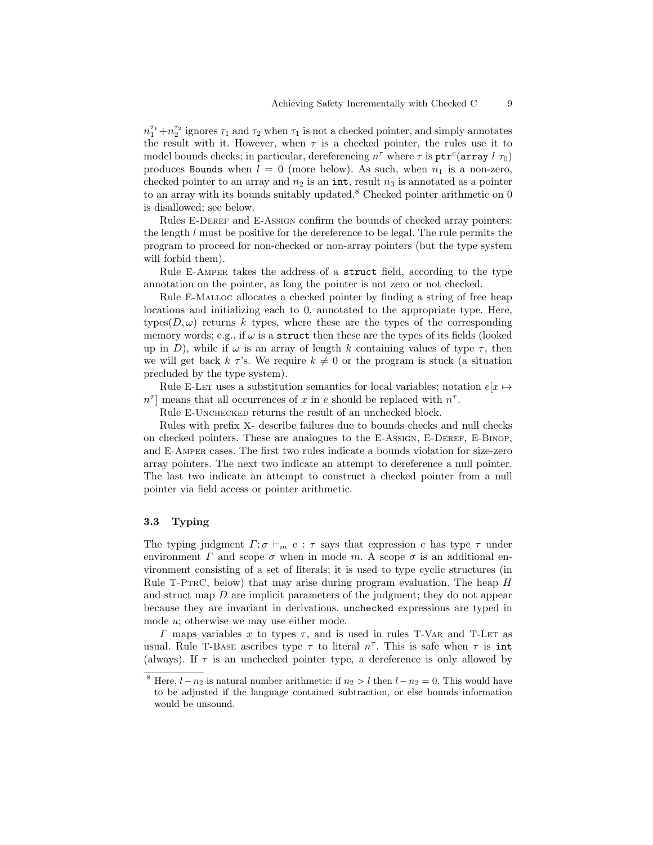$n_1^{\tau_1}+n_2^{\tau_2}$  ignores  $\tau_1$  and  $\tau_2$  when  $\tau_1$  is not a checked pointer, and simply annotates the result with it. However, when  $\tau$  is a checked pointer, the rules use it to model bounds checks; in particular, dereferencing  $n^{\tau}$  where  $\tau$  is  $\texttt{ptr}^{c}(\texttt{array} \ l \tau_0)$ produces Bounds when  $l = 0$  (more below). As such, when  $n_1$  is a non-zero, checked pointer to an array and  $n_2$  is an int, result  $n_3$  is annotated as a pointer to an array with its bounds suitably updated.<sup>8</sup> Checked pointer arithmetic on  $0$ is disallowed; see below.

Rules E-Deref and E-Assign confirm the bounds of checked array pointers: the length  $l$  must be positive for the dereference to be legal. The rule permits the program to proceed for non-checked or non-array pointers (but the type system will forbid them).

Rule E-Amper takes the address of a struct field, according to the type annotation on the pointer, as long the pointer is not zero or not checked.

Rule E-Malloc allocates a checked pointer by finding a string of free heap locations and initializing each to 0, annotated to the appropriate type. Here, types( $D, \omega$ ) returns k types, where these are the types of the corresponding memory words; e.g., if  $\omega$  is a struct then these are the types of its fields (looked up in D), while if  $\omega$  is an array of length k containing values of type  $\tau$ , then we will get back k  $\tau$ 's. We require  $k \neq 0$  or the program is stuck (a situation precluded by the type system).

Rule E-Let uses a substitution semantics for local variables; notation  $e[x \mapsto$  $n^{\tau}$  means that all occurrences of x in e should be replaced with  $n^{\tau}$ .

Rule E-UNCHECKED returns the result of an unchecked block.

Rules with prefix X- describe failures due to bounds checks and null checks on checked pointers. These are analogues to the E-Assign, E-Deref, E-Binop, and E-Amper cases. The first two rules indicate a bounds violation for size-zero array pointers. The next two indicate an attempt to dereference a null pointer. The last two indicate an attempt to construct a checked pointer from a null pointer via field access or pointer arithmetic.

#### 3.3 Typing

The typing judgment  $\Gamma; \sigma \vdash_m e : \tau$  says that expression e has type  $\tau$  under environment  $\Gamma$  and scope  $\sigma$  when in mode m. A scope  $\sigma$  is an additional environment consisting of a set of literals; it is used to type cyclic structures (in Rule T-PTRC, below) that may arise during program evaluation. The heap  $H$ and struct map D are implicit parameters of the judgment; they do not appear because they are invariant in derivations. unchecked expressions are typed in mode *u*; otherwise we may use either mode.

 $\Gamma$  maps variables x to types τ, and is used in rules T-VAR and T-LET as usual. Rule T-Base ascribes type  $\tau$  to literal  $n^{\tau}$ . This is safe when  $\tau$  is int (always). If  $\tau$  is an unchecked pointer type, a dereference is only allowed by

<sup>&</sup>lt;sup>8</sup> Here,  $l - n_2$  is natural number arithmetic: if  $n_2 > l$  then  $l - n_2 = 0$ . This would have to be adjusted if the language contained subtraction, or else bounds information would be unsound.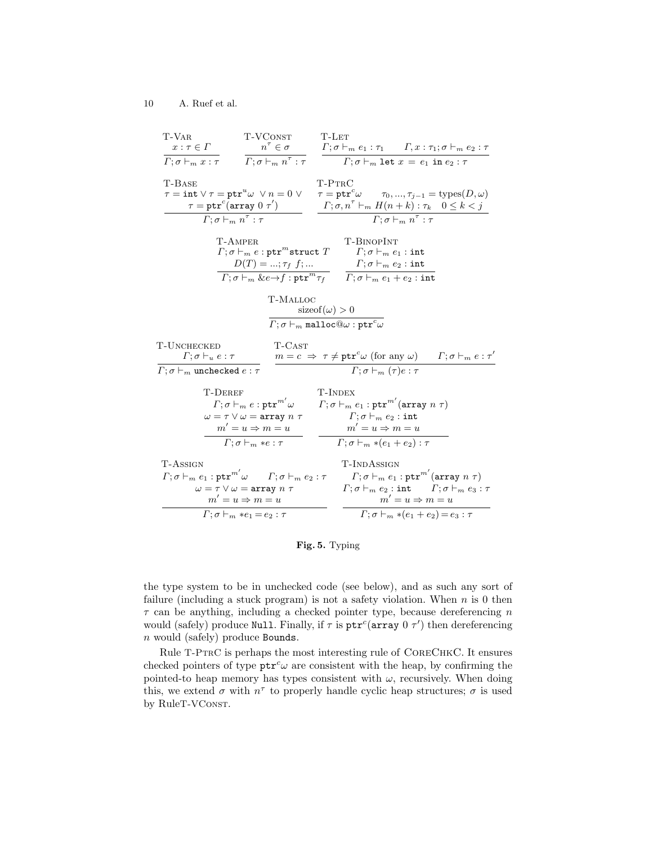| T-VAR                                          | T-VCONST                                                                                                                     | T-LET                                                                                                             |                                                                                                                                                         |  |  |
|------------------------------------------------|------------------------------------------------------------------------------------------------------------------------------|-------------------------------------------------------------------------------------------------------------------|---------------------------------------------------------------------------------------------------------------------------------------------------------|--|--|
| $x: \tau \in \Gamma$                           |                                                                                                                              |                                                                                                                   | $n^{\tau} \in \sigma$ $\Gamma; \sigma \vdash_m e_1 : \tau_1 \quad \Gamma, x : \tau_1; \sigma \vdash_m e_2 : \tau$                                       |  |  |
|                                                | $\Gamma; \sigma \vdash_m x : \tau$ $\Gamma; \sigma \vdash_m n^\tau : \tau$                                                   |                                                                                                                   | $\varGamma;\sigma \vdash_m \mathtt{let}\ x\,=\,e_1\,\mathtt{in}\,e_2:\tau$                                                                              |  |  |
| T-BASE                                         |                                                                                                                              | T-PTRC                                                                                                            |                                                                                                                                                         |  |  |
|                                                | $\tau = \text{int} \vee \tau = \text{ptr}^u \omega \vee n = 0 \vee$                                                          | $\tau = \texttt{ptr}^c \omega$ $\tau_0, , \tau_{i-1} = \text{types}(D, \omega)$                                   |                                                                                                                                                         |  |  |
|                                                | $\tau = \texttt{ptr}^c(\texttt{array}\;0\;\tau')$                                                                            | $\Gamma; \sigma, n^{\tau} \vdash_m H(n+k) : \tau_k \quad 0 \leq k < j$<br>$\Gamma: \sigma \vdash_m n^\tau : \tau$ |                                                                                                                                                         |  |  |
|                                                | $\Gamma; \sigma \vdash_m n^\tau : \tau$                                                                                      |                                                                                                                   |                                                                                                                                                         |  |  |
|                                                | T-AMPER                                                                                                                      | T-BINOPINT                                                                                                        |                                                                                                                                                         |  |  |
|                                                | $\Gamma;\sigma \vdash_m e:\texttt{ptr}^m \texttt{struct}\; T \qquad \Gamma;\sigma \vdash_m e_1:\texttt{int}$                 |                                                                                                                   |                                                                                                                                                         |  |  |
|                                                |                                                                                                                              | $D(T) = ; \tau_f f; $ $\Gamma; \sigma \vdash_m e_2 : \text{int}$                                                  |                                                                                                                                                         |  |  |
|                                                | $\Gamma; \sigma \vdash_m \& e \rightarrow f : \mathtt{ptr}^m \tau_f \qquad \Gamma; \sigma \vdash_m e_1 + e_2 : \mathtt{int}$ |                                                                                                                   |                                                                                                                                                         |  |  |
|                                                | T-MALLOC                                                                                                                     | size of $(\omega) > 0$                                                                                            |                                                                                                                                                         |  |  |
|                                                |                                                                                                                              | $\overline{\Gamma;\sigma \vdash_m \mathtt{malloc}@ \omega : \mathtt{ptr}^c \omega}$                               |                                                                                                                                                         |  |  |
| T-Unchecked                                    | T-CAST                                                                                                                       |                                                                                                                   |                                                                                                                                                         |  |  |
|                                                |                                                                                                                              |                                                                                                                   | $\Gamma; \sigma \vdash_u e : \tau$ $m = c \Rightarrow \tau \neq \text{ptr}^c \omega \text{ (for any } \omega) \qquad \Gamma; \sigma \vdash_m e : \tau'$ |  |  |
| $\Gamma; \sigma \vdash_m$ unchecked $e : \tau$ |                                                                                                                              | $\Gamma; \sigma \vdash_m (\tau) e : \tau$                                                                         |                                                                                                                                                         |  |  |
| T-DEREF                                        |                                                                                                                              | T-INDEX                                                                                                           |                                                                                                                                                         |  |  |
|                                                | $\Gamma;\sigma \vdash_m e:\mathtt{ptr}^{m'}\omega$                                                                           | $\Gamma; \sigma \vdash_m e_1 : \mathtt{ptr}^{m'}(\mathtt{array}~n~\tau)$                                          |                                                                                                                                                         |  |  |
|                                                | $\omega = \tau \vee \omega = \text{array } n \tau$                                                                           | $\Gamma; \sigma \vdash_m e_2 : \mathtt{int}$                                                                      |                                                                                                                                                         |  |  |
|                                                | $m' = u \Rightarrow m = u$                                                                                                   | $m' = u \Rightarrow m = u$                                                                                        |                                                                                                                                                         |  |  |
|                                                | $\Gamma: \sigma \vdash_m *e : \tau$                                                                                          | $\Gamma; \sigma \vdash_m * (e_1 + e_2) : \tau$                                                                    |                                                                                                                                                         |  |  |
| T-Assign                                       |                                                                                                                              | T-INDASSIGN                                                                                                       |                                                                                                                                                         |  |  |
|                                                | $\Gamma; \sigma \vdash_m e_1 : \mathtt{ptr}^{m'}\omega \quad \quad \Gamma; \sigma \vdash_m e_2 : \tau$                       | $\varGamma;\sigma \vdash_m e_1 : \mathtt{ptr}^{m'}(\mathtt{array}\ n\ \tau)$                                      |                                                                                                                                                         |  |  |
|                                                | $\omega = \tau \vee \omega = \text{array } n \tau$                                                                           |                                                                                                                   | $\Gamma; \sigma \vdash_m e_2 : \text{int} \qquad \Gamma; \sigma \vdash_m e_3 : \tau$                                                                    |  |  |
|                                                | $m' = u \Rightarrow m = u$                                                                                                   |                                                                                                                   | $m' = u \Rightarrow m = u$                                                                                                                              |  |  |
|                                                | $\Gamma; \sigma \vdash_m *e_1=e_2 : \tau$                                                                                    |                                                                                                                   | $\Gamma; \sigma \vdash_{m} * (e_1 + e_2) = e_3 : \tau$                                                                                                  |  |  |

Fig. 5. Typing

the type system to be in unchecked code (see below), and as such any sort of failure (including a stuck program) is not a safety violation. When  $n$  is 0 then  $\tau$  can be anything, including a checked pointer type, because dereferencing n would (safely) produce Null. Finally, if  $\tau$  is  $ptr^{c}(\arctan \theta \tau')$  then dereferencing n would (safely) produce Bounds.

Rule T-PtrC is perhaps the most interesting rule of CoreChkC. It ensures checked pointers of type  $ptr^c\omega$  are consistent with the heap, by confirming the pointed-to heap memory has types consistent with  $\omega$ , recursively. When doing this, we extend  $\sigma$  with  $n^{\tau}$  to properly handle cyclic heap structures;  $\sigma$  is used by RuleT-VCONST.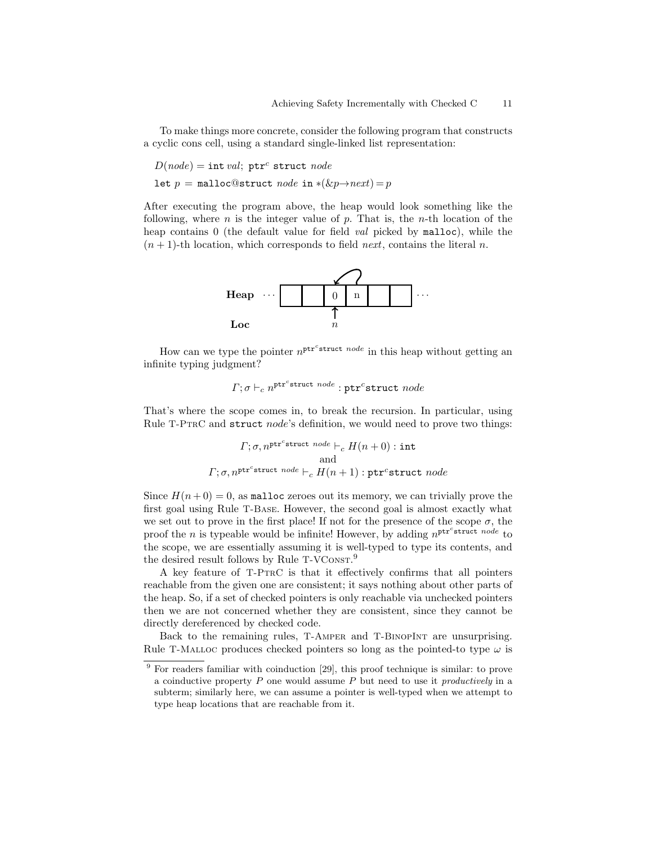To make things more concrete, consider the following program that constructs a cyclic cons cell, using a standard single-linked list representation:

$$
D(node) = \text{int } val; \text{ptr}^c \text{ struct } node
$$

let  $p = \text{malloc@struct} node$  in \* $(\& p \rightarrow next) = p$ 

After executing the program above, the heap would look something like the following, where n is the integer value of p. That is, the n-th location of the heap contains 0 (the default value for field val picked by malloc), while the  $(n + 1)$ -th location, which corresponds to field *next*, contains the literal *n*.



How can we type the pointer  $n^{\text{ptr}^c \text{struct } node}$  in this heap without getting an infinite typing judgment?

$$
\varGamma;\sigma \vdash_c n^{\texttt{ptr}^c\texttt{struct}\;\textit{node}}:\texttt{ptr}^c\texttt{struct}\;\textit{node}
$$

That's where the scope comes in, to break the recursion. In particular, using Rule T-PTRC and struct *node*'s definition, we would need to prove two things:

$$
\Gamma; \sigma, n^{\texttt{ptr}^c\texttt{struct}~node} \vdash_c H(n+0): \texttt{int} \\ \text{and} \\ \Gamma; \sigma, n^{\texttt{ptr}^c\texttt{struct}~node} \vdash_c H(n+1): \texttt{ptr}^c\texttt{struct}~node
$$

Since  $H(n+0) = 0$ , as malled zeroes out its memory, we can trivially prove the first goal using Rule T-Base. However, the second goal is almost exactly what we set out to prove in the first place! If not for the presence of the scope  $\sigma$ , the proof the *n* is typeable would be infinite! However, by adding  $n^{\text{ptr}^c\text{struct node}}$  to the scope, we are essentially assuming it is well-typed to type its contents, and the desired result follows by Rule T-VConsr.<sup>9</sup>

A key feature of T-PtrC is that it effectively confirms that all pointers reachable from the given one are consistent; it says nothing about other parts of the heap. So, if a set of checked pointers is only reachable via unchecked pointers then we are not concerned whether they are consistent, since they cannot be directly dereferenced by checked code.

Back to the remaining rules, T-Amper and T-BinopInt are unsurprising. Rule T-Malloc produces checked pointers so long as the pointed-to type  $\omega$  is

 $\frac{9}{9}$  For readers familiar with coinduction [29], this proof technique is similar: to prove a coinductive property  $P$  one would assume  $P$  but need to use it productively in a subterm; similarly here, we can assume a pointer is well-typed when we attempt to type heap locations that are reachable from it.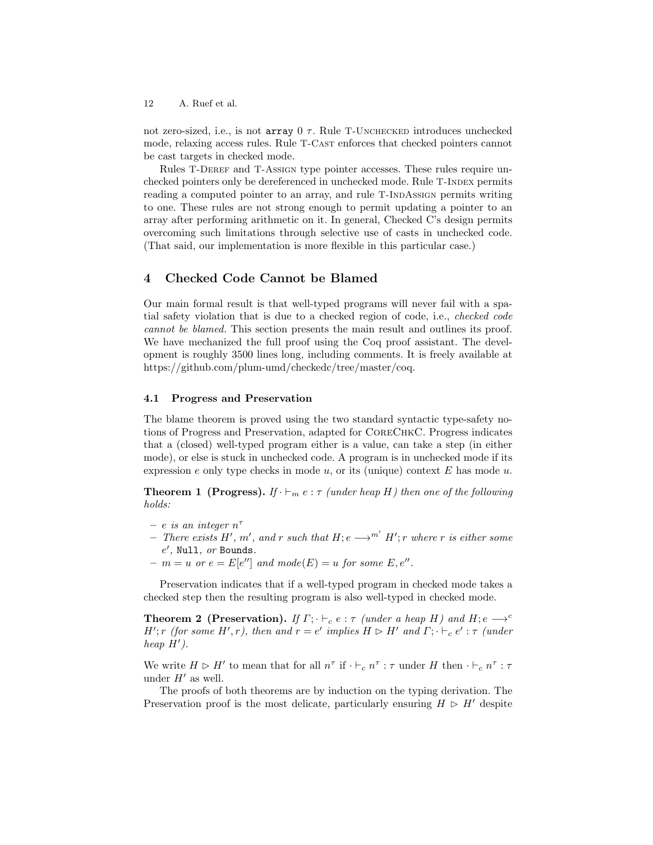not zero-sized, i.e., is not array  $0 \tau$ . Rule T-UNCHECKED introduces unchecked mode, relaxing access rules. Rule T-Cast enforces that checked pointers cannot be cast targets in checked mode.

Rules T-Deref and T-Assign type pointer accesses. These rules require unchecked pointers only be dereferenced in unchecked mode. Rule T-INDEX permits reading a computed pointer to an array, and rule T-INDASSIGN permits writing to one. These rules are not strong enough to permit updating a pointer to an array after performing arithmetic on it. In general, Checked C's design permits overcoming such limitations through selective use of casts in unchecked code. (That said, our implementation is more flexible in this particular case.)

## 4 Checked Code Cannot be Blamed

Our main formal result is that well-typed programs will never fail with a spatial safety violation that is due to a checked region of code, i.e., checked code cannot be blamed. This section presents the main result and outlines its proof. We have mechanized the full proof using the Coq proof assistant. The development is roughly 3500 lines long, including comments. It is freely available at https://github.com/plum-umd/checkedc/tree/master/coq.

### 4.1 Progress and Preservation

The blame theorem is proved using the two standard syntactic type-safety notions of Progress and Preservation, adapted for CoreChkC. Progress indicates that a (closed) well-typed program either is a value, can take a step (in either mode), or else is stuck in unchecked code. A program is in unchecked mode if its expression e only type checks in mode  $u$ , or its (unique) context E has mode  $u$ .

**Theorem 1 (Progress).** If  $\cdot \vdash_m e : \tau$  (under heap H) then one of the following holds:

- $e$  is an integer  $n^{\tau}$
- $-$  There exists  $H', m',$  and r such that  $H; e →^{m'} H'; r$  where r is either some  $e'$ , Null, or Bounds.
- $-m = u$  or  $e = E[e'']$  and  $mode(E) = u$  for some  $E, e''$ .

Preservation indicates that if a well-typed program in checked mode takes a checked step then the resulting program is also well-typed in checked mode.

**Theorem 2 (Preservation).** If  $\Gamma$ ;  $\vdash_c e : \tau$  (under a heap H) and  $H$ ;  $e \rightarrow^c$  $H'; r$  (for some  $H', r$ ), then and  $r = e'$  implies  $H \triangleright H'$  and  $\Gamma; \vdash_c e' : \tau$  (under heap  $H'$ ).

We write  $H \triangleright H'$  to mean that for all  $n^{\tau}$  if  $\cdot \vdash_c n^{\tau} : \tau$  under H then  $\cdot \vdash_c n^{\tau} : \tau$ under  $H'$  as well.

The proofs of both theorems are by induction on the typing derivation. The Preservation proof is the most delicate, particularly ensuring  $H \triangleright H'$  despite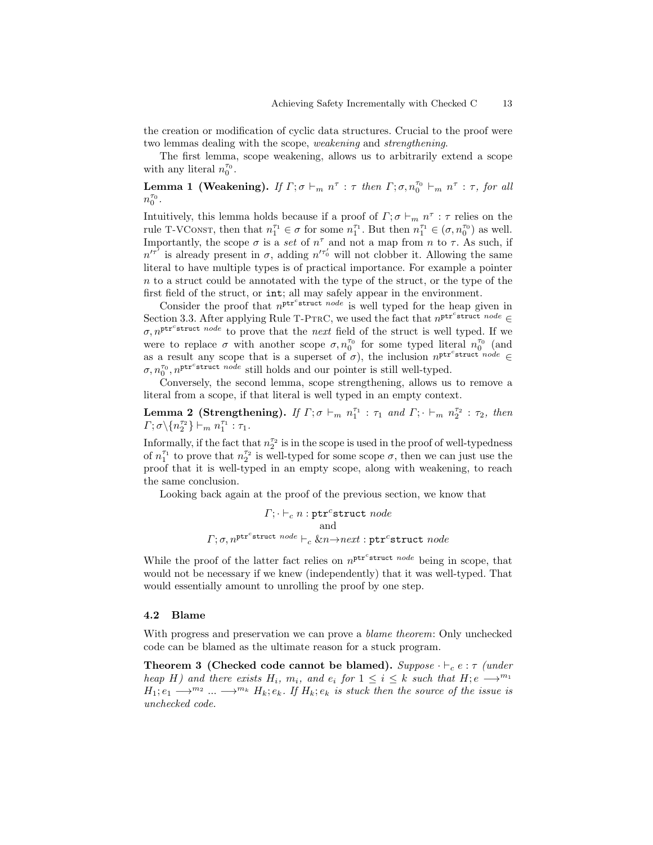the creation or modification of cyclic data structures. Crucial to the proof were two lemmas dealing with the scope, weakening and strengthening.

The first lemma, scope weakening, allows us to arbitrarily extend a scope with any literal  $n_0^{\tau_0}$ .

**Lemma 1 (Weakening).** If  $\Gamma; \sigma \vdash_m n^\tau : \tau$  then  $\Gamma; \sigma, n_0^{\tau_0} \vdash_m n^\tau : \tau$ , for all  $n_0^{\tau_0}$ .

Intuitively, this lemma holds because if a proof of  $\Gamma; \sigma \vdash_m n^\tau : \tau$  relies on the rule T-VConsr, then that  $n_1^{\tau_1} \in \sigma$  for some  $n_1^{\tau_1}$ . But then  $n_1^{\tau_1} \in (\sigma, n_0^{\tau_0})$  as well. Importantly, the scope  $\sigma$  is a set of  $n^{\tau}$  and not a map from n to  $\tau$ . As such, if  $n'^{\tau'}$  is already present in  $\sigma$ , adding  $n'^{\tau'_0}$  will not clobber it. Allowing the same literal to have multiple types is of practical importance. For example a pointer  $n$  to a struct could be annotated with the type of the struct, or the type of the first field of the struct, or int; all may safely appear in the environment.

Consider the proof that  $n^{\text{ptr}^c\text{struct node}}$  is well typed for the heap given in Section 3.3. After applying Rule T-PTRC, we used the fact that  $n^{\text{ptr}^c \text{struct node}} \in$  $\sigma$ ,  $n^{\text{ptr}^c$  struct node to prove that the next field of the struct is well typed. If we were to replace  $\sigma$  with another scope  $\sigma, n_0^{\tau_0}$  for some typed literal  $n_0^{\tau_0}$  (and as a result any scope that is a superset of  $\sigma$ ), the inclusion  $n^{\text{ptr}^c \text{struct} \text{ node}}$  $\sigma, n_0^{\tau_0}, n^{\text{ptr}^c \text{struct } node}$  still holds and our pointer is still well-typed.

Conversely, the second lemma, scope strengthening, allows us to remove a literal from a scope, if that literal is well typed in an empty context.

**Lemma 2 (Strengthening).** If  $\Gamma; \sigma \vdash_m n_1^{\tau_1} : \tau_1$  and  $\Gamma; \vdash_m n_2^{\tau_2} : \tau_2$ , then  $\Gamma; \sigma \backslash \{n_2^{\tau_2}\}\vdash_m n_1^{\tau_1}:\tau_1.$ 

Informally, if the fact that  $n_2^{\tau_2}$  is in the scope is used in the proof of well-typedness of  $n_1^{\tau_1}$  to prove that  $n_2^{\tau_2}$  is well-typed for some scope  $\sigma$ , then we can just use the proof that it is well-typed in an empty scope, along with weakening, to reach the same conclusion.

Looking back again at the proof of the previous section, we know that

$$
\Gamma; \cdot \vdash_c n : \texttt{ptr}^c \texttt{struct} \ node
$$
\nand\n
$$
\Gamma; \sigma, n^{\texttt{ptr}^c \texttt{struct} \ node} \vdash_c \& n \rightarrow next : \texttt{ptr}^c \texttt{struct} \ node
$$

While the proof of the latter fact relies on  $n^{\text{ptr}^c\text{struct} \text{ node}}$  being in scope, that would not be necessary if we knew (independently) that it was well-typed. That would essentially amount to unrolling the proof by one step.

#### 4.2 Blame

With progress and preservation we can prove a *blame theorem*: Only unchecked code can be blamed as the ultimate reason for a stuck program.

**Theorem 3 (Checked code cannot be blamed).** Suppose  $\cdot \vdash_c e : \tau$  (under heap H) and there exists  $H_i$ ,  $m_i$ , and  $e_i$  for  $1 \leq i \leq k$  such that  $H; e \longrightarrow^{m_1}$  $H_1; e_1 \longrightarrow^{m_2} \dots \longrightarrow^{m_k} H_k; e_k$ . If  $H_k; e_k$  is stuck then the source of the issue is unchecked code.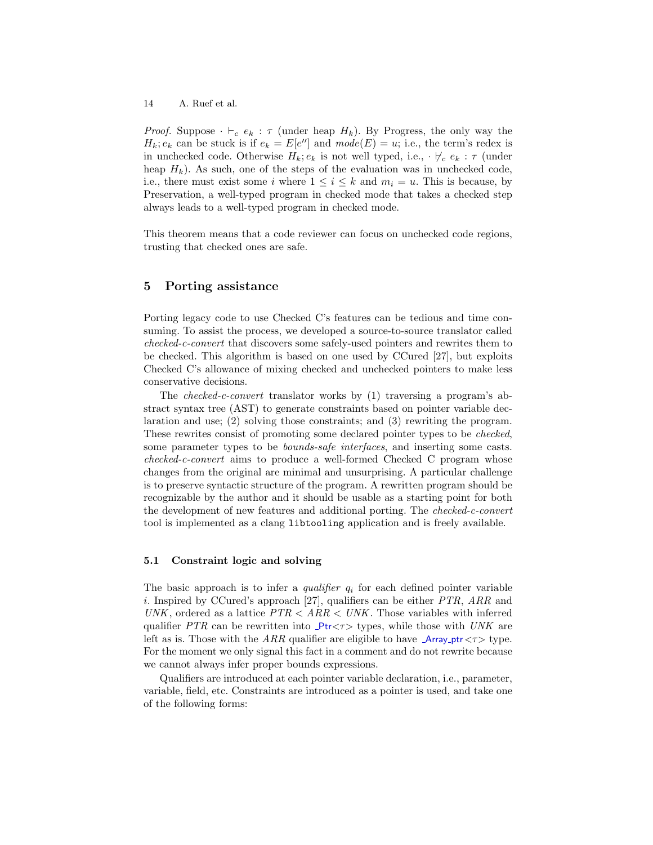*Proof.* Suppose  $\cdot \vdash_c e_k : \tau$  (under heap  $H_k$ ). By Progress, the only way the  $H_k$ ;  $e_k$  can be stuck is if  $e_k = E[e'']$  and  $mode(E) = u$ ; i.e., the term's redex is in unchecked code. Otherwise  $H_k; e_k$  is not well typed, i.e.,  $\cdot \nvdash_c e_k : \tau$  (under heap  $H_k$ ). As such, one of the steps of the evaluation was in unchecked code, i.e., there must exist some i where  $1 \leq i \leq k$  and  $m_i = u$ . This is because, by Preservation, a well-typed program in checked mode that takes a checked step always leads to a well-typed program in checked mode.

This theorem means that a code reviewer can focus on unchecked code regions, trusting that checked ones are safe.

### 5 Porting assistance

Porting legacy code to use Checked C's features can be tedious and time consuming. To assist the process, we developed a source-to-source translator called checked-c-convert that discovers some safely-used pointers and rewrites them to be checked. This algorithm is based on one used by CCured [27], but exploits Checked C's allowance of mixing checked and unchecked pointers to make less conservative decisions.

The checked-c-convert translator works by (1) traversing a program's abstract syntax tree (AST) to generate constraints based on pointer variable declaration and use; (2) solving those constraints; and (3) rewriting the program. These rewrites consist of promoting some declared pointer types to be checked, some parameter types to be *bounds-safe interfaces*, and inserting some casts. checked-c-convert aims to produce a well-formed Checked C program whose changes from the original are minimal and unsurprising. A particular challenge is to preserve syntactic structure of the program. A rewritten program should be recognizable by the author and it should be usable as a starting point for both the development of new features and additional porting. The checked-c-convert tool is implemented as a clang libtooling application and is freely available.

#### 5.1 Constraint logic and solving

The basic approach is to infer a *qualifier*  $q_i$  for each defined pointer variable i. Inspired by CCured's approach [27], qualifiers can be either PTR, ARR and UNK, ordered as a lattice  $PTR < ARR < UNK$ . Those variables with inferred qualifier  $PTR$  can be rewritten into  $Ptr < \tau$  types, while those with UNK are left as is. Those with the ARR qualifier are eligible to have  $\Delta r r q \rightarrow \tau \rightarrow$  type. For the moment we only signal this fact in a comment and do not rewrite because we cannot always infer proper bounds expressions.

Qualifiers are introduced at each pointer variable declaration, i.e., parameter, variable, field, etc. Constraints are introduced as a pointer is used, and take one of the following forms: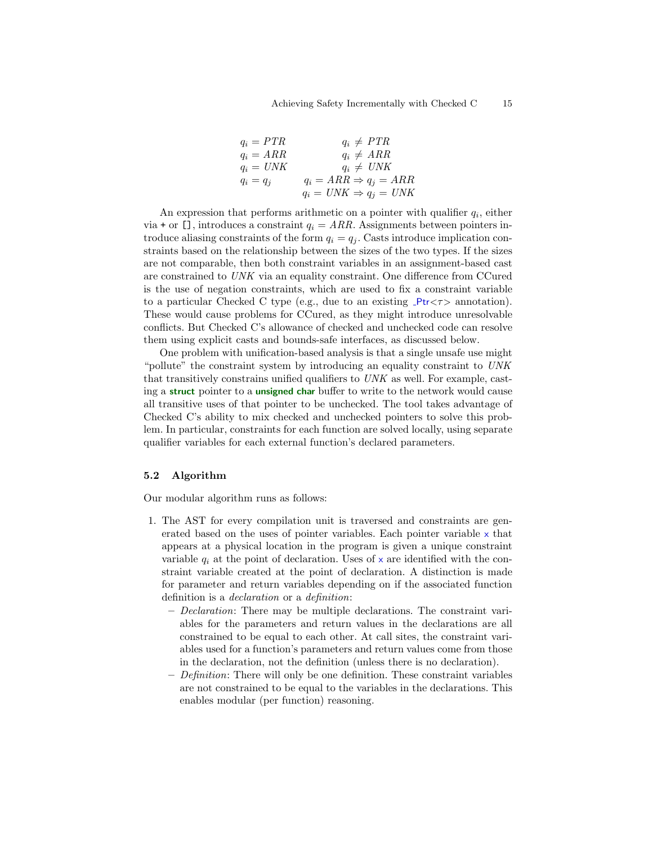$$
q_i = PTR
$$
  
\n
$$
q_i = ARR
$$
  
\n
$$
q_i = UNK
$$
  
\n
$$
q_i = q_j
$$
  
\n
$$
q_i = ARR \Rightarrow q_j = ARR
$$
  
\n
$$
q_i = UNK \Rightarrow q_j = UNK
$$
  
\n
$$
q_i = UNK \Rightarrow q_j = UNK
$$

An expression that performs arithmetic on a pointer with qualifier  $q_i$ , either via + or [], introduces a constraint  $q_i = ARR$ . Assignments between pointers introduce aliasing constraints of the form  $q_i = q_j$ . Casts introduce implication constraints based on the relationship between the sizes of the two types. If the sizes are not comparable, then both constraint variables in an assignment-based cast are constrained to UNK via an equality constraint. One difference from CCured is the use of negation constraints, which are used to fix a constraint variable to a particular Checked C type (e.g., due to an existing  $Ptr < \tau$ ) annotation). These would cause problems for CCured, as they might introduce unresolvable conflicts. But Checked C's allowance of checked and unchecked code can resolve them using explicit casts and bounds-safe interfaces, as discussed below.

One problem with unification-based analysis is that a single unsafe use might "pollute" the constraint system by introducing an equality constraint to UNK that transitively constrains unified qualifiers to UNK as well. For example, casting a **struct** pointer to a **unsigned char** buffer to write to the network would cause all transitive uses of that pointer to be unchecked. The tool takes advantage of Checked C's ability to mix checked and unchecked pointers to solve this problem. In particular, constraints for each function are solved locally, using separate qualifier variables for each external function's declared parameters.

#### 5.2 Algorithm

Our modular algorithm runs as follows:

- 1. The AST for every compilation unit is traversed and constraints are generated based on the uses of pointer variables. Each pointer variable x that appears at a physical location in the program is given a unique constraint variable  $q_i$  at the point of declaration. Uses of x are identified with the constraint variable created at the point of declaration. A distinction is made for parameter and return variables depending on if the associated function definition is a declaration or a definition:
	- Declaration: There may be multiple declarations. The constraint variables for the parameters and return values in the declarations are all constrained to be equal to each other. At call sites, the constraint variables used for a function's parameters and return values come from those in the declaration, not the definition (unless there is no declaration).
	- $-$  *Definition*: There will only be one definition. These constraint variables are not constrained to be equal to the variables in the declarations. This enables modular (per function) reasoning.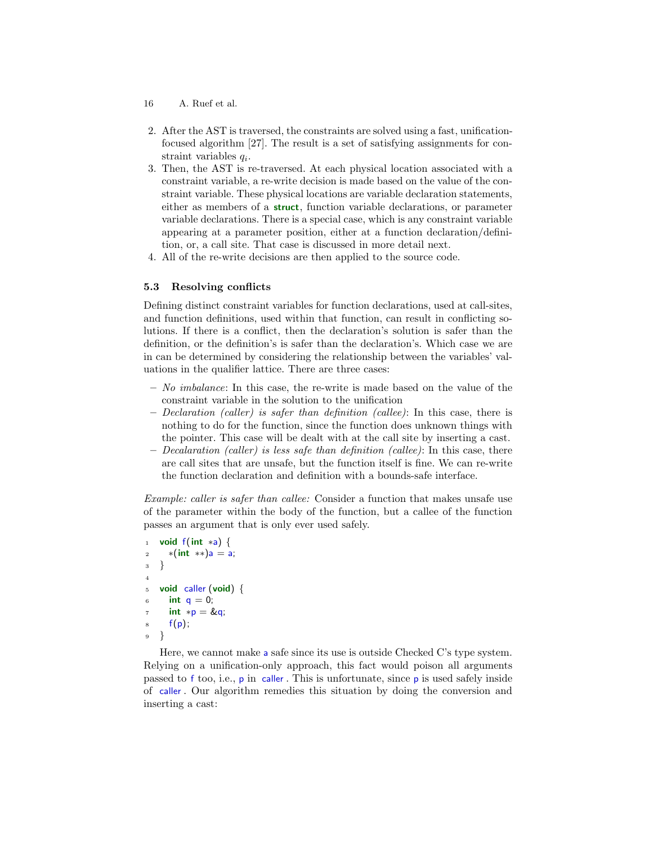- 16 A. Ruef et al.
- 2. After the AST is traversed, the constraints are solved using a fast, unificationfocused algorithm [27]. The result is a set of satisfying assignments for constraint variables  $q_i$ .
- 3. Then, the AST is re-traversed. At each physical location associated with a constraint variable, a re-write decision is made based on the value of the constraint variable. These physical locations are variable declaration statements, either as members of a struct, function variable declarations, or parameter variable declarations. There is a special case, which is any constraint variable appearing at a parameter position, either at a function declaration/definition, or, a call site. That case is discussed in more detail next.
- 4. All of the re-write decisions are then applied to the source code.

#### 5.3 Resolving conflicts

Defining distinct constraint variables for function declarations, used at call-sites, and function definitions, used within that function, can result in conflicting solutions. If there is a conflict, then the declaration's solution is safer than the definition, or the definition's is safer than the declaration's. Which case we are in can be determined by considering the relationship between the variables' valuations in the qualifier lattice. There are three cases:

- No imbalance: In this case, the re-write is made based on the value of the constraint variable in the solution to the unification
- $-$  Declaration (caller) is safer than definition (callee): In this case, there is nothing to do for the function, since the function does unknown things with the pointer. This case will be dealt with at the call site by inserting a cast.
- $-$  Decalaration (caller) is less safe than definition (callee): In this case, there are call sites that are unsafe, but the function itself is fine. We can re-write the function declaration and definition with a bounds-safe interface.

Example: caller is safer than callee: Consider a function that makes unsafe use of the parameter within the body of the function, but a callee of the function passes an argument that is only ever used safely.

```
void f(int *a) {
2 *(int **)a = a;3 }
4
5 void caller (void) {
6 int q = 0;
     int *{\bf p} = \&{\bf q};s = f(p);9 }
```
Here, we cannot make a safe since its use is outside Checked C's type system. Relying on a unification-only approach, this fact would poison all arguments passed to f too, i.e., p in caller . This is unfortunate, since p is used safely inside of caller . Our algorithm remedies this situation by doing the conversion and inserting a cast: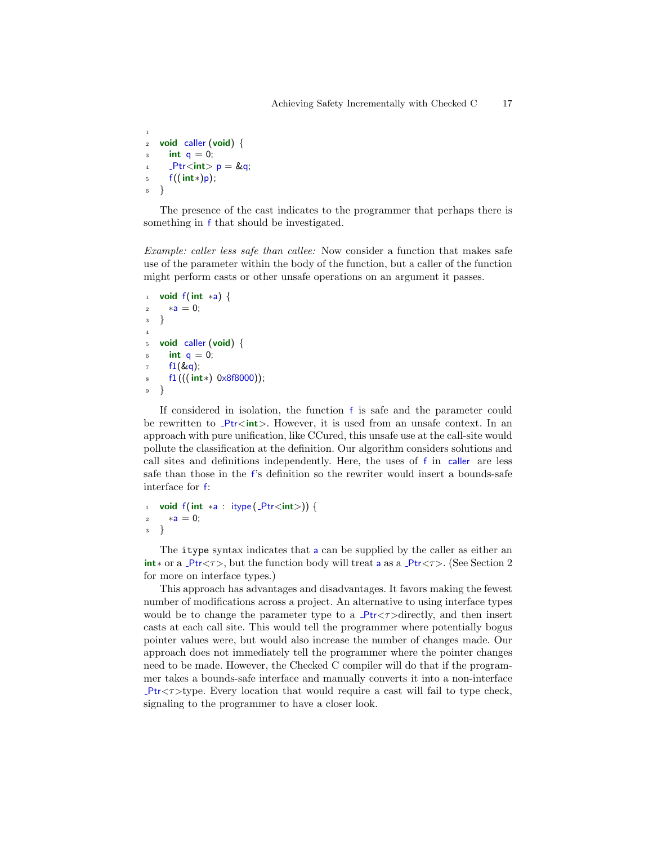```
1
2 void caller (void) {
3 int q = 0;
4 Ptr<int> p = \&q;5 \quad f((int*)p);6 }
```
The presence of the cast indicates to the programmer that perhaps there is something in f that should be investigated.

Example: caller less safe than callee: Now consider a function that makes safe use of the parameter within the body of the function, but a caller of the function might perform casts or other unsafe operations on an argument it passes.

```
1 void f(int *a) {
2 \times a = 0;3 }
4
5 void caller (void) {
6 int q = 0;
7 f1(\& q);8 f1 (((int∗) 0x8f8000));
9 }
```
If considered in isolation, the function f is safe and the parameter could be rewritten to Ptr<int>. However, it is used from an unsafe context. In an approach with pure unification, like CCured, this unsafe use at the call-site would pollute the classification at the definition. Our algorithm considers solutions and call sites and definitions independently. Here, the uses of f in caller are less safe than those in the f's definition so the rewriter would insert a bounds-safe interface for f:

```
1 void f(int *a : itype (Ptr<int)) {
2 * a = 0;
3 }
```
The itype syntax indicates that a can be supplied by the caller as either an int∗ or a Ptr< $\tau$ >, but the function body will treat a as a Ptr< $\tau$ >. (See Section 2 for more on interface types.)

This approach has advantages and disadvantages. It favors making the fewest number of modifications across a project. An alternative to using interface types would be to change the parameter type to a  $P$ tr $\lt$  $\tau$  $>$ directly, and then insert casts at each call site. This would tell the programmer where potentially bogus pointer values were, but would also increase the number of changes made. Our approach does not immediately tell the programmer where the pointer changes need to be made. However, the Checked C compiler will do that if the programmer takes a bounds-safe interface and manually converts it into a non-interface  $Ptr \langle \tau \rangle$  Every location that would require a cast will fail to type check, signaling to the programmer to have a closer look.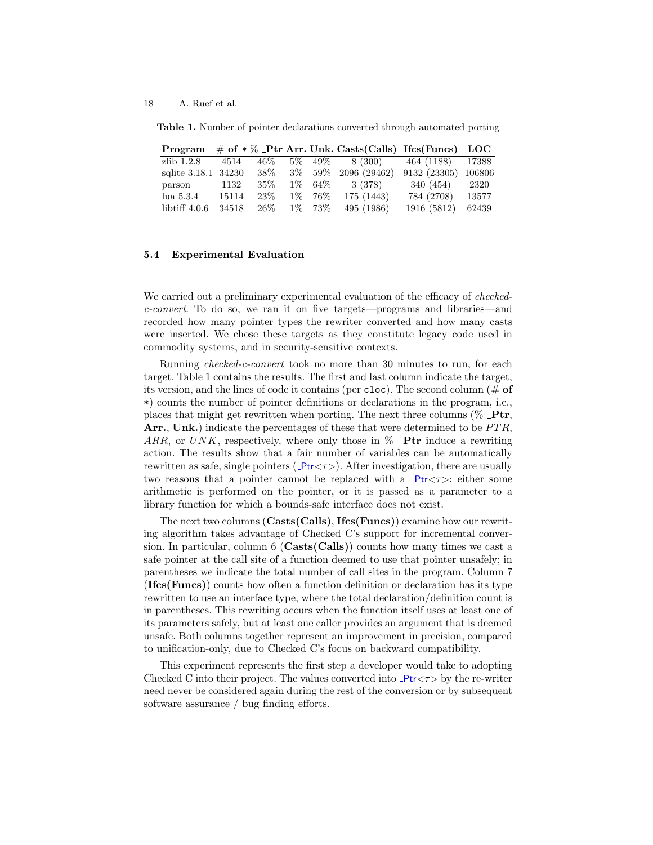Table 1. Number of pointer declarations converted through automated porting

| Program             |       |        |       |          | # of $*$ % _Ptr Arr. Unk. Casts(Calls) Ifcs(Funcs) |              | <b>LOC</b> |
|---------------------|-------|--------|-------|----------|----------------------------------------------------|--------------|------------|
| zlib $1.2.8$        | 4514  | 46%    |       |          | $5\%$ 49\% 8 (300)                                 | 464 (1188)   | 17388      |
| sqlite 3.18.1 34230 |       | $38\%$ |       | 3\% 59\% | 2096 (29462)                                       | 9132 (23305) | 106806     |
| parson              | 1132  | 35%    |       | 1\% 64\% | 3 (378)                                            | 340 (454)    | 2320       |
| lua 5.3.4           | 15114 | 23%    | $1\%$ | 76%      | 175 (1443)                                         | 784 (2708)   | 13577      |
| libtiff $4.0.6$     | 34518 | $26\%$ |       | 1\% 73\% | 495 (1986)                                         | 1916 (5812)  | 62439      |

#### 5.4 Experimental Evaluation

We carried out a preliminary experimental evaluation of the efficacy of *checked*c-convert. To do so, we ran it on five targets—programs and libraries—and recorded how many pointer types the rewriter converted and how many casts were inserted. We chose these targets as they constitute legacy code used in commodity systems, and in security-sensitive contexts.

Running checked-c-convert took no more than 30 minutes to run, for each target. Table 1 contains the results. The first and last column indicate the target, its version, and the lines of code it contains (per cloc). The second column ( $\#$  of \*) counts the number of pointer definitions or declarations in the program, i.e., places that might get rewritten when porting. The next three columns ( $\%$  \_Ptr, Arr., Unk.) indicate the percentages of these that were determined to be  $PTR$ , ARR, or UNK, respectively, where only those in  $\%$  **Ptr** induce a rewriting action. The results show that a fair number of variables can be automatically rewritten as safe, single pointers ( $Ptr < \tau$ ). After investigation, there are usually two reasons that a pointer cannot be replaced with a  $Ptr\langle\tau\rangle$ : either some arithmetic is performed on the pointer, or it is passed as a parameter to a library function for which a bounds-safe interface does not exist.

The next two columns (Casts(Calls), Ifcs(Funcs)) examine how our rewriting algorithm takes advantage of Checked C's support for incremental conversion. In particular, column  $6$  (Casts(Calls)) counts how many times we cast a safe pointer at the call site of a function deemed to use that pointer unsafely; in parentheses we indicate the total number of call sites in the program. Column 7 (Ifcs(Funcs)) counts how often a function definition or declaration has its type rewritten to use an interface type, where the total declaration/definition count is in parentheses. This rewriting occurs when the function itself uses at least one of its parameters safely, but at least one caller provides an argument that is deemed unsafe. Both columns together represent an improvement in precision, compared to unification-only, due to Checked C's focus on backward compatibility.

This experiment represents the first step a developer would take to adopting Checked C into their project. The values converted into  $Ptr < \tau$  by the re-writer need never be considered again during the rest of the conversion or by subsequent software assurance / bug finding efforts.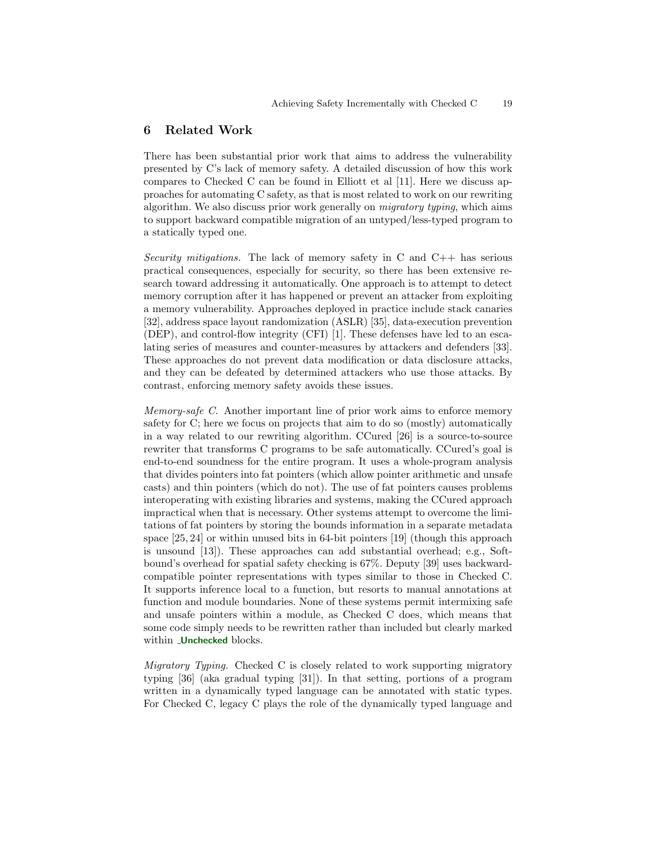## 6 Related Work

There has been substantial prior work that aims to address the vulnerability presented by C's lack of memory safety. A detailed discussion of how this work compares to Checked C can be found in Elliott et al [11]. Here we discuss approaches for automating C safety, as that is most related to work on our rewriting algorithm. We also discuss prior work generally on migratory typing, which aims to support backward compatible migration of an untyped/less-typed program to a statically typed one.

Security mitigations. The lack of memory safety in C and  $C_{++}$  has serious practical consequences, especially for security, so there has been extensive research toward addressing it automatically. One approach is to attempt to detect memory corruption after it has happened or prevent an attacker from exploiting a memory vulnerability. Approaches deployed in practice include stack canaries [32], address space layout randomization (ASLR) [35], data-execution prevention (DEP), and control-flow integrity (CFI) [1]. These defenses have led to an escalating series of measures and counter-measures by attackers and defenders [33]. These approaches do not prevent data modification or data disclosure attacks, and they can be defeated by determined attackers who use those attacks. By contrast, enforcing memory safety avoids these issues.

Memory-safe C. Another important line of prior work aims to enforce memory safety for C; here we focus on projects that aim to do so (mostly) automatically in a way related to our rewriting algorithm. CCured [26] is a source-to-source rewriter that transforms C programs to be safe automatically. CCured's goal is end-to-end soundness for the entire program. It uses a whole-program analysis that divides pointers into fat pointers (which allow pointer arithmetic and unsafe casts) and thin pointers (which do not). The use of fat pointers causes problems interoperating with existing libraries and systems, making the CCured approach impractical when that is necessary. Other systems attempt to overcome the limitations of fat pointers by storing the bounds information in a separate metadata space [25, 24] or within unused bits in 64-bit pointers [19] (though this approach is unsound [13]). These approaches can add substantial overhead; e.g., Softbound's overhead for spatial safety checking is 67%. Deputy [39] uses backwardcompatible pointer representations with types similar to those in Checked C. It supports inference local to a function, but resorts to manual annotations at function and module boundaries. None of these systems permit intermixing safe and unsafe pointers within a module, as Checked C does, which means that some code simply needs to be rewritten rather than included but clearly marked within \_Unchecked blocks.

Migratory Typing. Checked C is closely related to work supporting migratory typing [36] (aka gradual typing [31]). In that setting, portions of a program written in a dynamically typed language can be annotated with static types. For Checked C, legacy C plays the role of the dynamically typed language and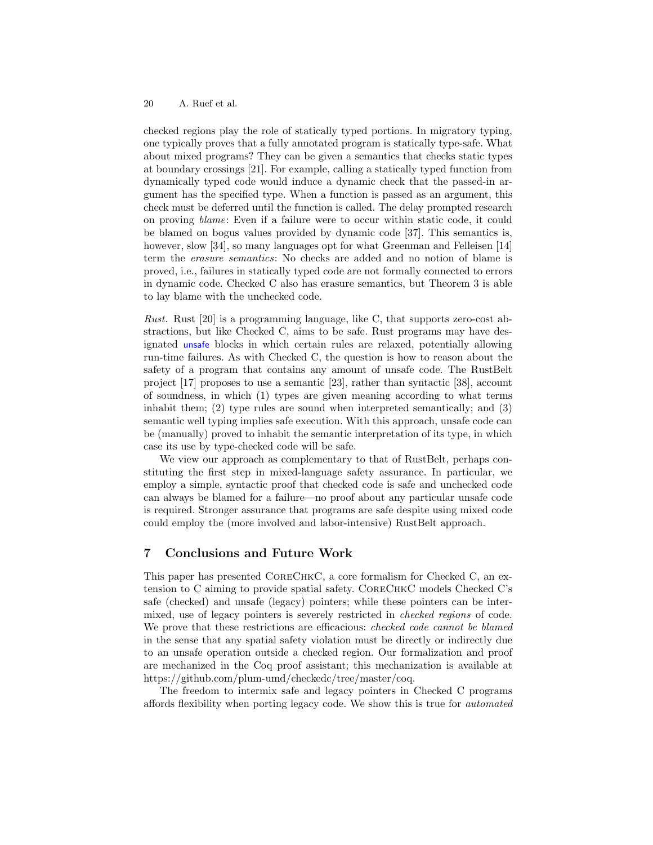checked regions play the role of statically typed portions. In migratory typing, one typically proves that a fully annotated program is statically type-safe. What about mixed programs? They can be given a semantics that checks static types at boundary crossings [21]. For example, calling a statically typed function from dynamically typed code would induce a dynamic check that the passed-in argument has the specified type. When a function is passed as an argument, this check must be deferred until the function is called. The delay prompted research on proving blame: Even if a failure were to occur within static code, it could be blamed on bogus values provided by dynamic code [37]. This semantics is, however, slow [34], so many languages opt for what Greenman and Felleisen [14] term the erasure semantics: No checks are added and no notion of blame is proved, i.e., failures in statically typed code are not formally connected to errors in dynamic code. Checked C also has erasure semantics, but Theorem 3 is able to lay blame with the unchecked code.

Rust. Rust [20] is a programming language, like C, that supports zero-cost abstractions, but like Checked C, aims to be safe. Rust programs may have designated unsafe blocks in which certain rules are relaxed, potentially allowing run-time failures. As with Checked C, the question is how to reason about the safety of a program that contains any amount of unsafe code. The RustBelt project [17] proposes to use a semantic [23], rather than syntactic [38], account of soundness, in which (1) types are given meaning according to what terms inhabit them; (2) type rules are sound when interpreted semantically; and (3) semantic well typing implies safe execution. With this approach, unsafe code can be (manually) proved to inhabit the semantic interpretation of its type, in which case its use by type-checked code will be safe.

We view our approach as complementary to that of RustBelt, perhaps constituting the first step in mixed-language safety assurance. In particular, we employ a simple, syntactic proof that checked code is safe and unchecked code can always be blamed for a failure—no proof about any particular unsafe code is required. Stronger assurance that programs are safe despite using mixed code could employ the (more involved and labor-intensive) RustBelt approach.

## 7 Conclusions and Future Work

This paper has presented CoreChkC, a core formalism for Checked C, an extension to C aiming to provide spatial safety. CoreChkC models Checked C's safe (checked) and unsafe (legacy) pointers; while these pointers can be intermixed, use of legacy pointers is severely restricted in checked regions of code. We prove that these restrictions are efficacious: checked code cannot be blamed in the sense that any spatial safety violation must be directly or indirectly due to an unsafe operation outside a checked region. Our formalization and proof are mechanized in the Coq proof assistant; this mechanization is available at https://github.com/plum-umd/checkedc/tree/master/coq.

The freedom to intermix safe and legacy pointers in Checked C programs affords flexibility when porting legacy code. We show this is true for automated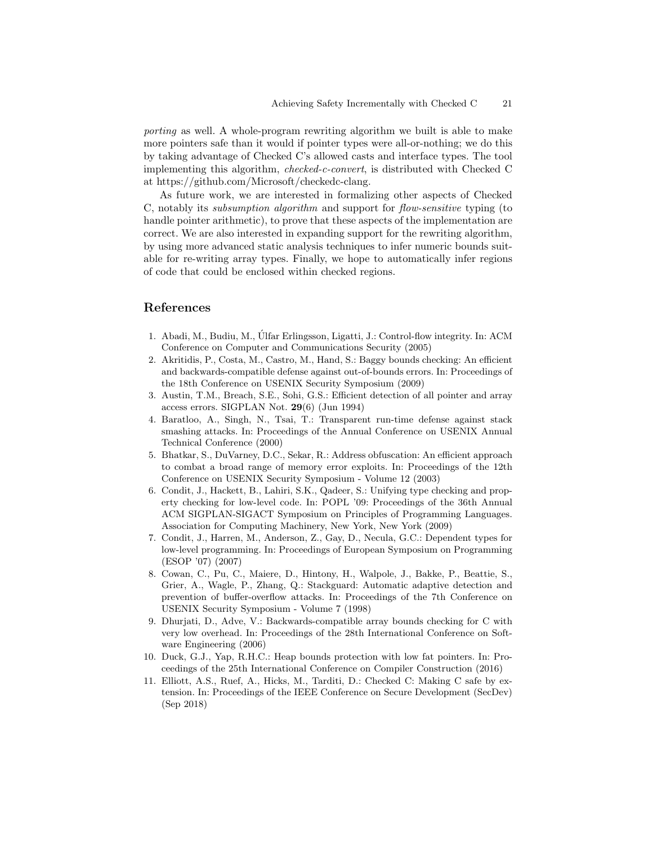porting as well. A whole-program rewriting algorithm we built is able to make more pointers safe than it would if pointer types were all-or-nothing; we do this by taking advantage of Checked C's allowed casts and interface types. The tool implementing this algorithm, checked-c-convert, is distributed with Checked C at https://github.com/Microsoft/checkedc-clang.

As future work, we are interested in formalizing other aspects of Checked C, notably its subsumption algorithm and support for flow-sensitive typing (to handle pointer arithmetic), to prove that these aspects of the implementation are correct. We are also interested in expanding support for the rewriting algorithm, by using more advanced static analysis techniques to infer numeric bounds suitable for re-writing array types. Finally, we hope to automatically infer regions of code that could be enclosed within checked regions.

## References

- 1. Abadi, M., Budiu, M., Ulfar Erlingsson, Ligatti, J.: Control-flow integrity. In: ACM ´ Conference on Computer and Communications Security (2005)
- 2. Akritidis, P., Costa, M., Castro, M., Hand, S.: Baggy bounds checking: An efficient and backwards-compatible defense against out-of-bounds errors. In: Proceedings of the 18th Conference on USENIX Security Symposium (2009)
- 3. Austin, T.M., Breach, S.E., Sohi, G.S.: Efficient detection of all pointer and array access errors. SIGPLAN Not. 29(6) (Jun 1994)
- 4. Baratloo, A., Singh, N., Tsai, T.: Transparent run-time defense against stack smashing attacks. In: Proceedings of the Annual Conference on USENIX Annual Technical Conference (2000)
- 5. Bhatkar, S., DuVarney, D.C., Sekar, R.: Address obfuscation: An efficient approach to combat a broad range of memory error exploits. In: Proceedings of the 12th Conference on USENIX Security Symposium - Volume 12 (2003)
- 6. Condit, J., Hackett, B., Lahiri, S.K., Qadeer, S.: Unifying type checking and property checking for low-level code. In: POPL '09: Proceedings of the 36th Annual ACM SIGPLAN-SIGACT Symposium on Principles of Programming Languages. Association for Computing Machinery, New York, New York (2009)
- 7. Condit, J., Harren, M., Anderson, Z., Gay, D., Necula, G.C.: Dependent types for low-level programming. In: Proceedings of European Symposium on Programming (ESOP '07) (2007)
- 8. Cowan, C., Pu, C., Maiere, D., Hintony, H., Walpole, J., Bakke, P., Beattie, S., Grier, A., Wagle, P., Zhang, Q.: Stackguard: Automatic adaptive detection and prevention of buffer-overflow attacks. In: Proceedings of the 7th Conference on USENIX Security Symposium - Volume 7 (1998)
- 9. Dhurjati, D., Adve, V.: Backwards-compatible array bounds checking for C with very low overhead. In: Proceedings of the 28th International Conference on Software Engineering (2006)
- 10. Duck, G.J., Yap, R.H.C.: Heap bounds protection with low fat pointers. In: Proceedings of the 25th International Conference on Compiler Construction (2016)
- 11. Elliott, A.S., Ruef, A., Hicks, M., Tarditi, D.: Checked C: Making C safe by extension. In: Proceedings of the IEEE Conference on Secure Development (SecDev) (Sep 2018)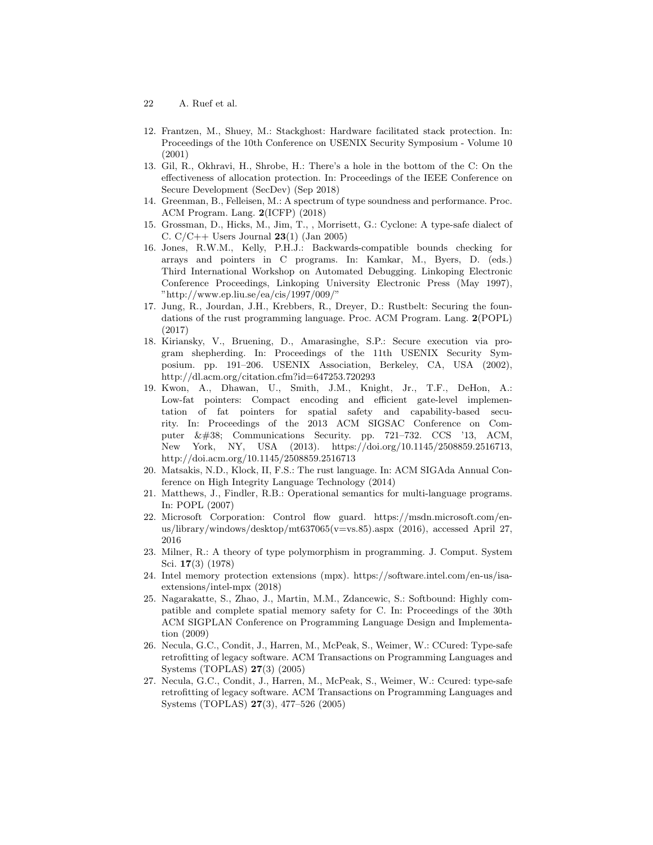- 22 A. Ruef et al.
- 12. Frantzen, M., Shuey, M.: Stackghost: Hardware facilitated stack protection. In: Proceedings of the 10th Conference on USENIX Security Symposium - Volume 10 (2001)
- 13. Gil, R., Okhravi, H., Shrobe, H.: There's a hole in the bottom of the C: On the effectiveness of allocation protection. In: Proceedings of the IEEE Conference on Secure Development (SecDev) (Sep 2018)
- 14. Greenman, B., Felleisen, M.: A spectrum of type soundness and performance. Proc. ACM Program. Lang. 2(ICFP) (2018)
- 15. Grossman, D., Hicks, M., Jim, T., , Morrisett, G.: Cyclone: A type-safe dialect of C.  $C/C++$  Users Journal  $23(1)$  (Jan 2005)
- 16. Jones, R.W.M., Kelly, P.H.J.: Backwards-compatible bounds checking for arrays and pointers in C programs. In: Kamkar, M., Byers, D. (eds.) Third International Workshop on Automated Debugging. Linkoping Electronic Conference Proceedings, Linkoping University Electronic Press (May 1997), "http://www.ep.liu.se/ea/cis/1997/009/"
- 17. Jung, R., Jourdan, J.H., Krebbers, R., Dreyer, D.: Rustbelt: Securing the foundations of the rust programming language. Proc. ACM Program. Lang. 2(POPL) (2017)
- 18. Kiriansky, V., Bruening, D., Amarasinghe, S.P.: Secure execution via program shepherding. In: Proceedings of the 11th USENIX Security Symposium. pp. 191–206. USENIX Association, Berkeley, CA, USA (2002), http://dl.acm.org/citation.cfm?id=647253.720293
- 19. Kwon, A., Dhawan, U., Smith, J.M., Knight, Jr., T.F., DeHon, A.: Low-fat pointers: Compact encoding and efficient gate-level implementation of fat pointers for spatial safety and capability-based security. In: Proceedings of the 2013 ACM SIGSAC Conference on Computer  $\&\#38$ ; Communications Security. pp. 721–732. CCS '13, ACM, New York, NY, USA (2013). https://doi.org/10.1145/2508859.2516713, http://doi.acm.org/10.1145/2508859.2516713
- 20. Matsakis, N.D., Klock, II, F.S.: The rust language. In: ACM SIGAda Annual Conference on High Integrity Language Technology (2014)
- 21. Matthews, J., Findler, R.B.: Operational semantics for multi-language programs. In: POPL (2007)
- 22. Microsoft Corporation: Control flow guard. https://msdn.microsoft.com/enus/library/windows/desktop/mt637065(v=vs.85).aspx (2016), accessed April 27, 2016
- 23. Milner, R.: A theory of type polymorphism in programming. J. Comput. System Sci. 17(3) (1978)
- 24. Intel memory protection extensions (mpx). https://software.intel.com/en-us/isaextensions/intel-mpx (2018)
- 25. Nagarakatte, S., Zhao, J., Martin, M.M., Zdancewic, S.: Softbound: Highly compatible and complete spatial memory safety for C. In: Proceedings of the 30th ACM SIGPLAN Conference on Programming Language Design and Implementation (2009)
- 26. Necula, G.C., Condit, J., Harren, M., McPeak, S., Weimer, W.: CCured: Type-safe retrofitting of legacy software. ACM Transactions on Programming Languages and Systems (TOPLAS) 27(3) (2005)
- 27. Necula, G.C., Condit, J., Harren, M., McPeak, S., Weimer, W.: Ccured: type-safe retrofitting of legacy software. ACM Transactions on Programming Languages and Systems (TOPLAS) 27(3), 477–526 (2005)